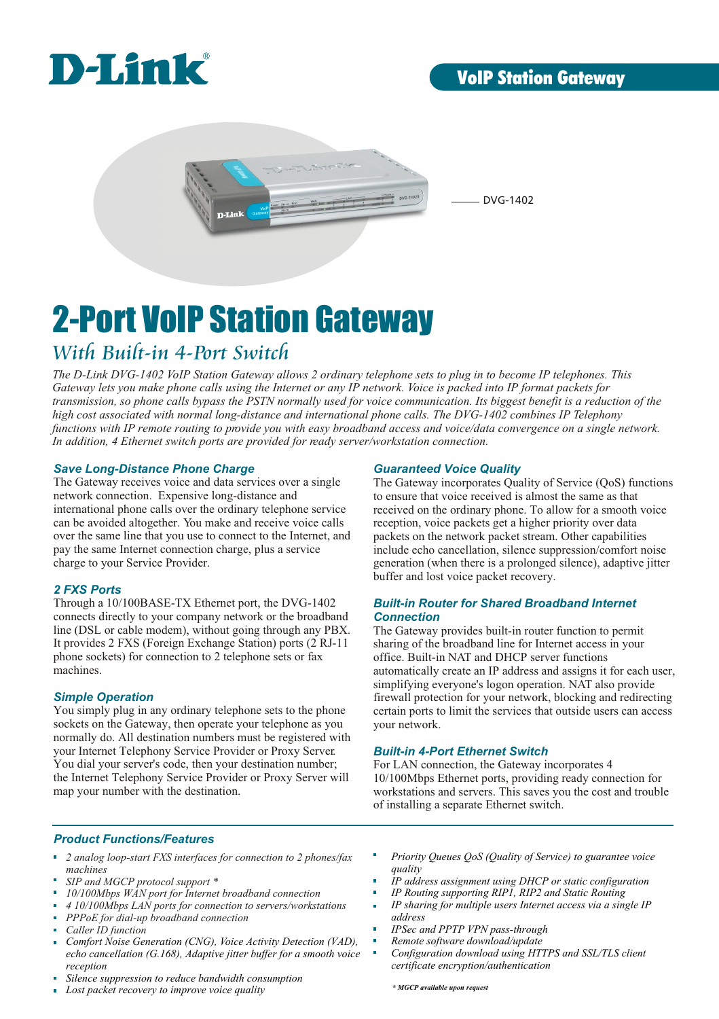

### **VoIP Station Gateway**



DVG-1402

# 2-Port VoIP Station Gateway

### *With Built-in 4-Port Switch*

*The D-Link DVG-1402 VoIP Station Gateway allows 2 ordinary telephone sets to plug in to become IP telephones. This Gateway lets you make phone calls using the Internet or any IP network. Voice is packed into IP format packets for transmission, so phone calls bypass the PSTN normally used for voice communication. Its biggest benefit is a reduction of the high cost associated with normal long-distance and international phone calls. The DVG-1402 combines IP Telephony functions with IP remote routing to provide you with easy broadband access and voice/data convergence on a single network. In addition, 4 Ethernet switch ports are provided for ready server/workstation connection.*

#### *Save Long-Distance Phone Charge*

The Gateway receives voice and data services over a single network connection. Expensive long-distance and international phone calls over the ordinary telephone service can be avoided altogether. You make and receive voice calls over the same line that you use to connect to the Internet, and pay the same Internet connection charge, plus a service charge to your Service Provider.

#### *2 FXS Ports*

Through a 10/100BASE-TX Ethernet port, the DVG-1402 connects directly to your company network or the broadband line (DSL or cable modem), without going through any PBX. It provides 2 FXS (Foreign Exchange Station) ports (2 RJ-11 phone sockets) for connection to 2 telephone sets or fax machines.

#### *Simple Operation*

You simply plug in any ordinary telephone sets to the phone sockets on the Gateway, then operate your telephone as you normally do. All destination numbers must be registered with your Internet Telephony Service Provider or Proxy Server. You dial your server's code, then your destination number; the Internet Telephony Service Provider or Proxy Server will map your number with the destination.

#### *Guaranteed Voice Quality*

The Gateway incorporates Quality of Service (QoS) functions to ensure that voice received is almost the same as that received on the ordinary phone. To allow for a smooth voice reception, voice packets get a higher priority over data packets on the network packet stream. Other capabilities include echo cancellation, silence suppression/comfort noise generation (when there is a prolonged silence), adaptive jitter buffer and lost voice packet recovery.

#### *Built-in Router for Shared Broadband Internet Connection*

The Gateway provides built-in router function to permit sharing of the broadband line for Internet access in your office. Built-in NAT and DHCP server functions automatically create an IP address and assigns it for each user, simplifying everyone's logon operation. NAT also provide firewall protection for your network, blocking and redirecting certain ports to limit the services that outside users can access your network.

#### *Built-in 4-Port Ethernet Switch*

For LAN connection, the Gateway incorporates 4 10/100Mbps Ethernet ports, providing ready connection for workstations and servers. This saves you the cost and trouble of installing a separate Ethernet switch.

#### *Product Functions/Features*

- $\mathbf{u}$ *2 analog loop-start FXS interfaces for connection to 2 phones/fax machines*
- *SIP and MGCP protocol support \**
- *10/100Mbps WAN port for Internet broadband connection*
- *4 10/100Mbps LAN ports for connection to servers/workstations* à.
- *PPPoE for dial-up broadband connection*
- *Caller ID function*
- *Comfort Noise Generation (CNG), Voice Activity Detection (VAD),*  n. *echo cancellation (G.168), Adaptive jitter buffer for a smooth voice reception*
- *Silence suppression to reduce bandwidth consumption*
- m. *Lost packet recovery to improve voice quality*
- *Priority Queues QoS (Quality of Service) to guarantee voice quality*
- *IP address assignment using DHCP or static configuration*
- *IP Routing supporting RIP1, RIP2 and Static Routing*
- *IP sharing for multiple users Internet access via a single IP address*
- *IPSec and PPTP VPN pass-through*
- *Remote software download/update*
- *Configuration download using HTTPS and SSL/TLS client certificate encryption/authentication*

*\* MGCP available upon request*